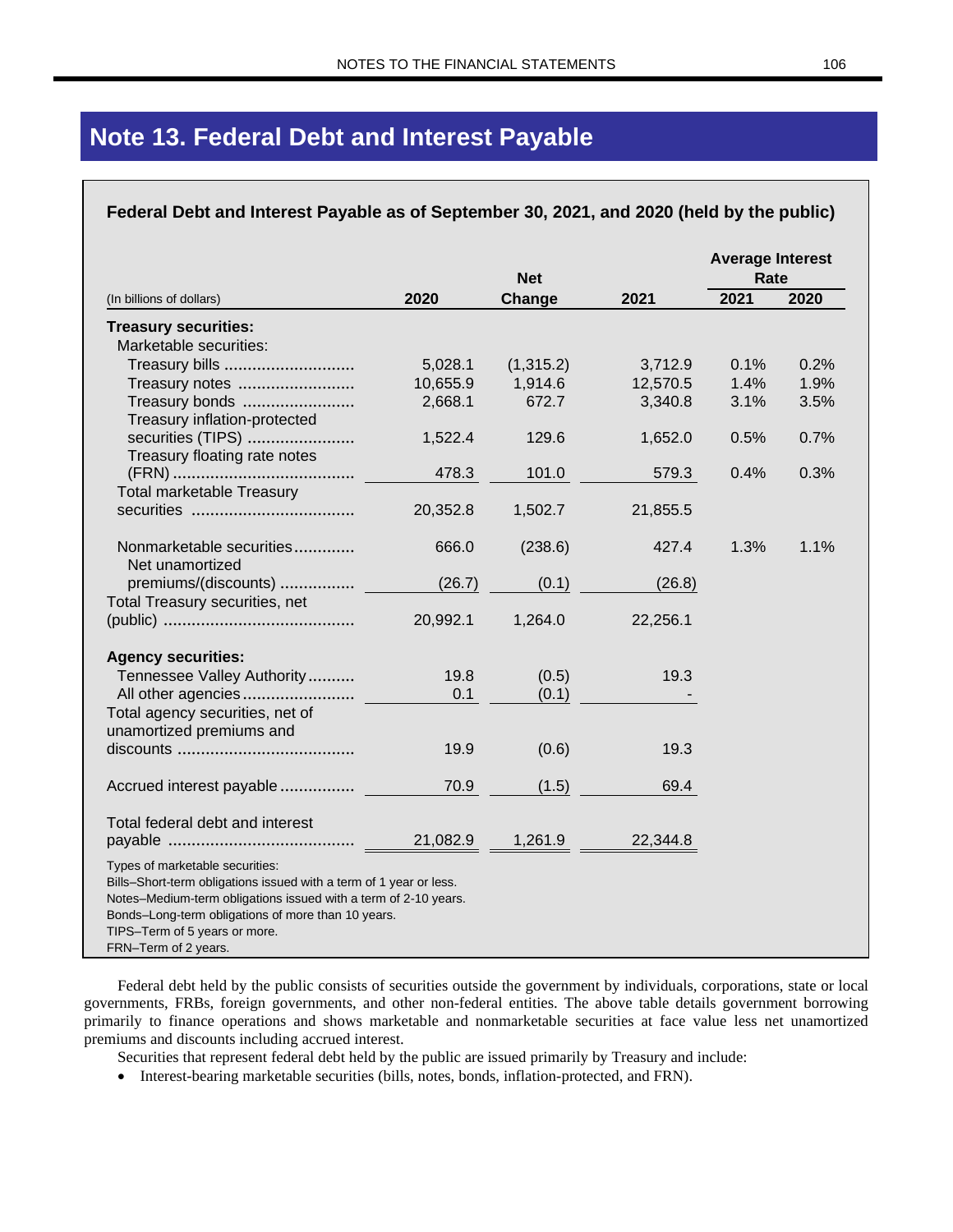## **Note 13. Federal Debt and Interest Payable**

## **Federal Debt and Interest Payable as of September 30, 2021, and 2020 (held by the public)**

| (In billions of dollars)                                                                                                                                                                                                                                                                |          | <b>Net</b> |          | <b>Average Interest</b><br>Rate |      |
|-----------------------------------------------------------------------------------------------------------------------------------------------------------------------------------------------------------------------------------------------------------------------------------------|----------|------------|----------|---------------------------------|------|
|                                                                                                                                                                                                                                                                                         | 2020     | Change     | 2021     | 2021                            | 2020 |
| <b>Treasury securities:</b>                                                                                                                                                                                                                                                             |          |            |          |                                 |      |
| Marketable securities:                                                                                                                                                                                                                                                                  |          |            |          |                                 |      |
| Treasury bills                                                                                                                                                                                                                                                                          | 5,028.1  | (1,315.2)  | 3,712.9  | 0.1%                            | 0.2% |
| Treasury notes                                                                                                                                                                                                                                                                          | 10,655.9 | 1,914.6    | 12,570.5 | 1.4%                            | 1.9% |
| Treasury bonds                                                                                                                                                                                                                                                                          | 2,668.1  | 672.7      | 3,340.8  | 3.1%                            | 3.5% |
| Treasury inflation-protected                                                                                                                                                                                                                                                            |          |            |          |                                 |      |
| securities (TIPS)                                                                                                                                                                                                                                                                       | 1,522.4  | 129.6      | 1,652.0  | 0.5%                            | 0.7% |
| Treasury floating rate notes                                                                                                                                                                                                                                                            |          |            |          |                                 |      |
|                                                                                                                                                                                                                                                                                         | 478.3    | 101.0      | 579.3    | 0.4%                            | 0.3% |
| <b>Total marketable Treasury</b>                                                                                                                                                                                                                                                        |          |            |          |                                 |      |
|                                                                                                                                                                                                                                                                                         | 20,352.8 | 1,502.7    | 21,855.5 |                                 |      |
| Nonmarketable securities                                                                                                                                                                                                                                                                | 666.0    | (238.6)    | 427.4    | 1.3%                            | 1.1% |
| Net unamortized                                                                                                                                                                                                                                                                         |          |            |          |                                 |      |
| premiums/(discounts)                                                                                                                                                                                                                                                                    | (26.7)   | (0.1)      | (26.8)   |                                 |      |
| Total Treasury securities, net                                                                                                                                                                                                                                                          |          |            |          |                                 |      |
|                                                                                                                                                                                                                                                                                         | 20,992.1 | 1,264.0    | 22,256.1 |                                 |      |
| <b>Agency securities:</b>                                                                                                                                                                                                                                                               |          |            |          |                                 |      |
| Tennessee Valley Authority                                                                                                                                                                                                                                                              | 19.8     | (0.5)      | 19.3     |                                 |      |
|                                                                                                                                                                                                                                                                                         | 0.1      | (0.1)      |          |                                 |      |
| Total agency securities, net of                                                                                                                                                                                                                                                         |          |            |          |                                 |      |
| unamortized premiums and                                                                                                                                                                                                                                                                |          |            |          |                                 |      |
|                                                                                                                                                                                                                                                                                         | 19.9     | (0.6)      | 19.3     |                                 |      |
|                                                                                                                                                                                                                                                                                         |          |            |          |                                 |      |
| Accrued interest payable                                                                                                                                                                                                                                                                | 70.9     | (1.5)      | 69.4     |                                 |      |
|                                                                                                                                                                                                                                                                                         |          |            |          |                                 |      |
| Total federal debt and interest                                                                                                                                                                                                                                                         |          |            |          |                                 |      |
|                                                                                                                                                                                                                                                                                         |          | 1,261.9    | 22,344.8 |                                 |      |
| Types of marketable securities:<br>Bills-Short-term obligations issued with a term of 1 year or less.<br>Notes-Medium-term obligations issued with a term of 2-10 years.<br>Bonds-Long-term obligations of more than 10 years.<br>TIPS-Term of 5 years or more.<br>FRN-Term of 2 years. |          |            |          |                                 |      |

Federal debt held by the public consists of securities outside the government by individuals, corporations, state or local governments, FRBs, foreign governments, and other non-federal entities. The above table details government borrowing primarily to finance operations and shows marketable and nonmarketable securities at face value less net unamortized premiums and discounts including accrued interest.

Securities that represent federal debt held by the public are issued primarily by Treasury and include:

• Interest-bearing marketable securities (bills, notes, bonds, inflation-protected, and FRN).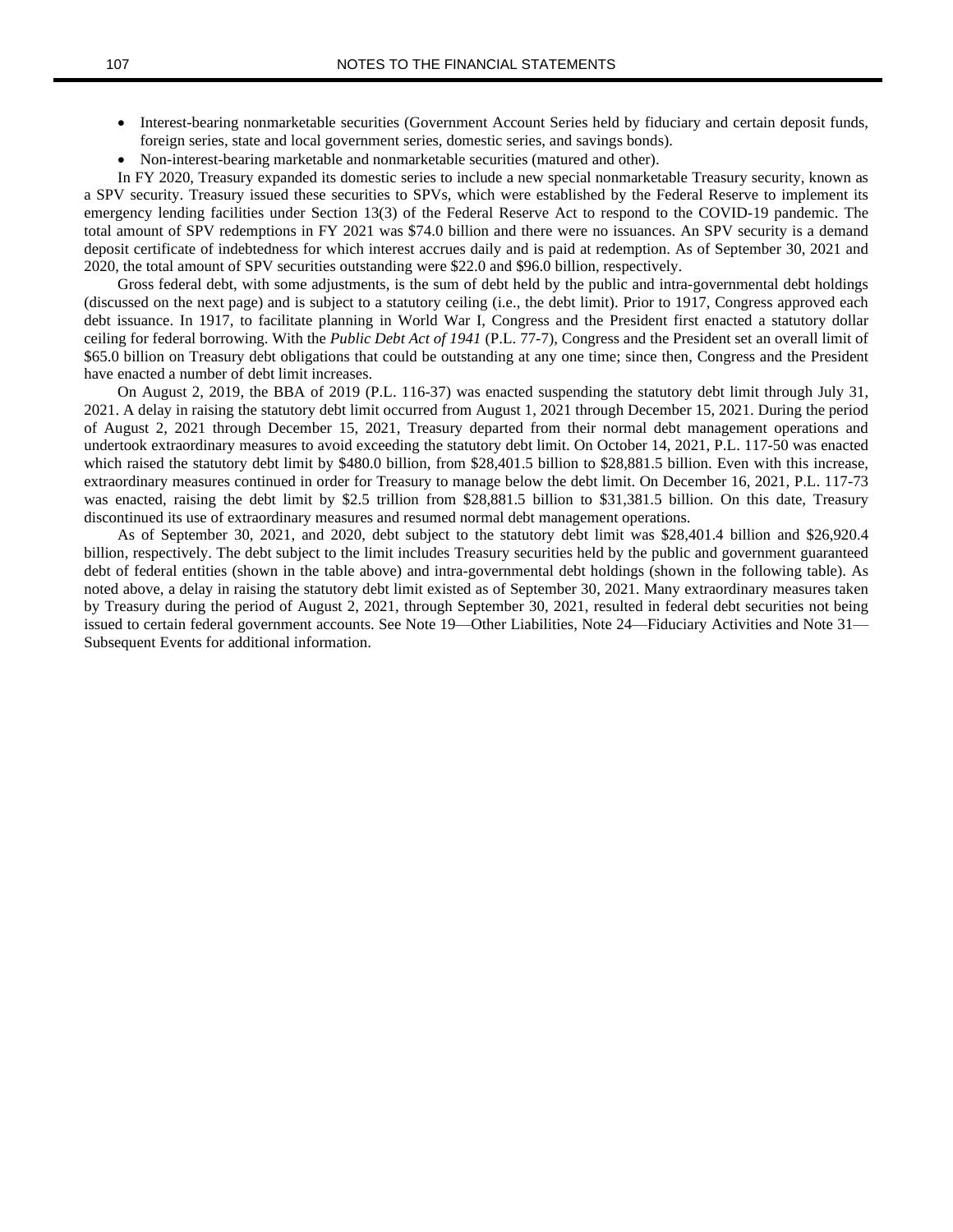- Interest-bearing nonmarketable securities (Government Account Series held by fiduciary and certain deposit funds, foreign series, state and local government series, domestic series, and savings bonds).
- Non-interest-bearing marketable and nonmarketable securities (matured and other).

In FY 2020, Treasury expanded its domestic series to include a new special nonmarketable Treasury security, known as a SPV security. Treasury issued these securities to SPVs, which were established by the Federal Reserve to implement its emergency lending facilities under Section 13(3) of the Federal Reserve Act to respond to the COVID-19 pandemic. The total amount of SPV redemptions in FY 2021 was \$74.0 billion and there were no issuances. An SPV security is a demand deposit certificate of indebtedness for which interest accrues daily and is paid at redemption. As of September 30, 2021 and 2020, the total amount of SPV securities outstanding were \$22.0 and \$96.0 billion, respectively.

Gross federal debt, with some adjustments, is the sum of debt held by the public and intra-governmental debt holdings (discussed on the next page) and is subject to a statutory ceiling (i.e., the debt limit). Prior to 1917, Congress approved each debt issuance. In 1917, to facilitate planning in World War I, Congress and the President first enacted a statutory dollar ceiling for federal borrowing. With the *Public Debt Act of 1941* (P.L. 77-7), Congress and the President set an overall limit of \$65.0 billion on Treasury debt obligations that could be outstanding at any one time; since then, Congress and the President have enacted a number of debt limit increases.

On August 2, 2019, the BBA of 2019 (P.L. 116-37) was enacted suspending the statutory debt limit through July 31, 2021. A delay in raising the statutory debt limit occurred from August 1, 2021 through December 15, 2021. During the period of August 2, 2021 through December 15, 2021, Treasury departed from their normal debt management operations and undertook extraordinary measures to avoid exceeding the statutory debt limit. On October 14, 2021, P.L. 117-50 was enacted which raised the statutory debt limit by \$480.0 billion, from \$28,401.5 billion to \$28,881.5 billion. Even with this increase, extraordinary measures continued in order for Treasury to manage below the debt limit. On December 16, 2021, P.L. 117-73 was enacted, raising the debt limit by \$2.5 trillion from \$28,881.5 billion to \$31,381.5 billion. On this date, Treasury discontinued its use of extraordinary measures and resumed normal debt management operations.

As of September 30, 2021, and 2020, debt subject to the statutory debt limit was \$28,401.4 billion and \$26,920.4 billion, respectively. The debt subject to the limit includes Treasury securities held by the public and government guaranteed debt of federal entities (shown in the table above) and intra-governmental debt holdings (shown in the following table). As noted above, a delay in raising the statutory debt limit existed as of September 30, 2021. Many extraordinary measures taken by Treasury during the period of August 2, 2021, through September 30, 2021, resulted in federal debt securities not being issued to certain federal government accounts. See Note 19—Other Liabilities, Note 24—Fiduciary Activities and Note 31— Subsequent Events for additional information.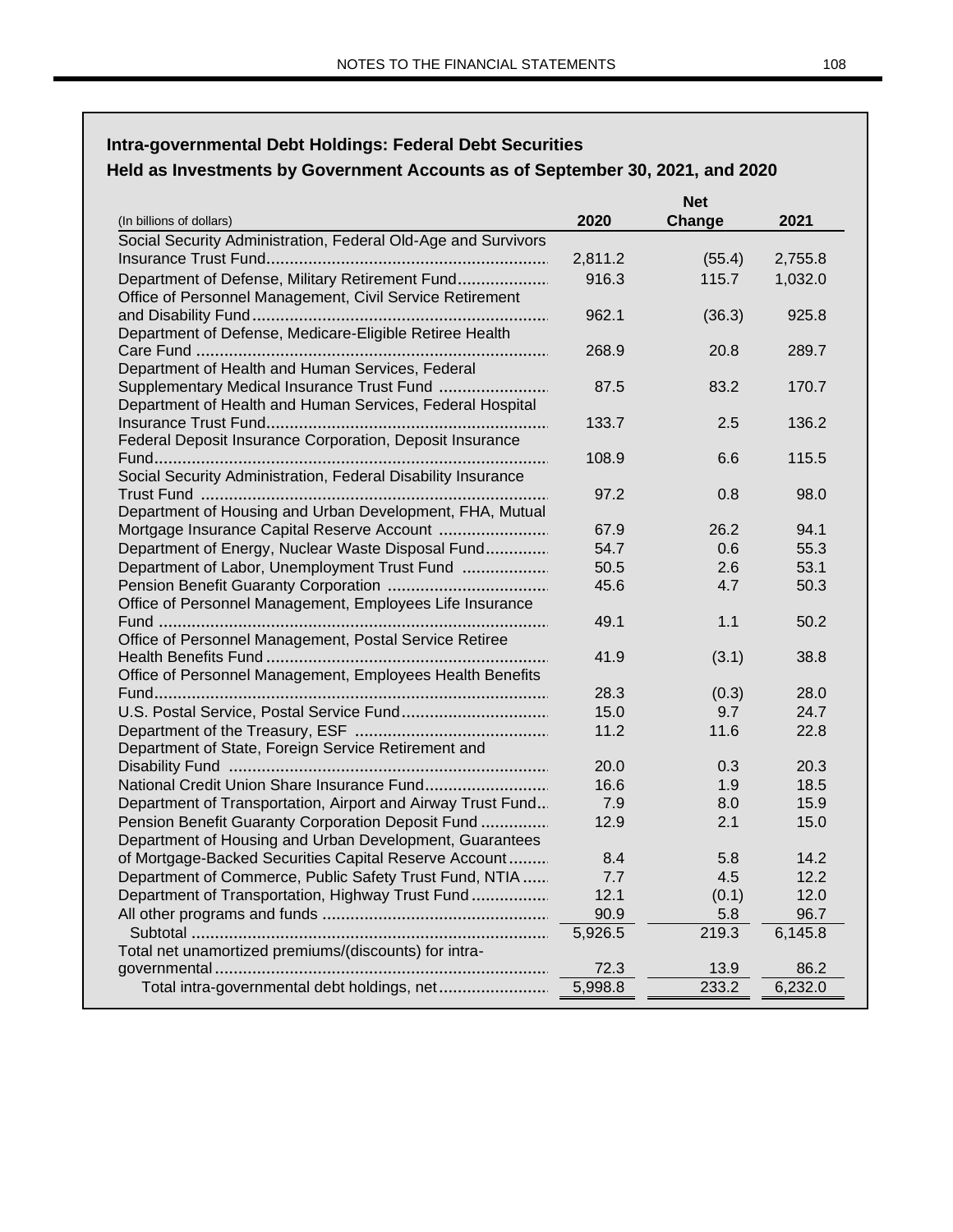## Intra-governmental Debt Holdings: Federal Debt Securities

## Held as Investments by Government Accounts as of September 30, 2021, and 2020

|                                                               |         | <b>Net</b> |         |  |
|---------------------------------------------------------------|---------|------------|---------|--|
| (In billions of dollars)                                      | 2020    | Change     | 2021    |  |
| Social Security Administration, Federal Old-Age and Survivors |         |            |         |  |
|                                                               | 2,811.2 | (55.4)     | 2,755.8 |  |
| Department of Defense, Military Retirement Fund               | 916.3   | 115.7      | 1,032.0 |  |
| Office of Personnel Management, Civil Service Retirement      |         |            |         |  |
|                                                               | 962.1   | (36.3)     | 925.8   |  |
| Department of Defense, Medicare-Eligible Retiree Health       |         |            |         |  |
|                                                               | 268.9   | 20.8       | 289.7   |  |
| Department of Health and Human Services, Federal              |         |            |         |  |
| Supplementary Medical Insurance Trust Fund                    | 87.5    | 83.2       | 170.7   |  |
| Department of Health and Human Services, Federal Hospital     |         |            |         |  |
|                                                               | 133.7   | 2.5        | 136.2   |  |
| Federal Deposit Insurance Corporation, Deposit Insurance      |         |            |         |  |
|                                                               | 108.9   | 6.6        | 115.5   |  |
| Social Security Administration, Federal Disability Insurance  |         |            |         |  |
|                                                               | 97.2    | 0.8        | 98.0    |  |
| Department of Housing and Urban Development, FHA, Mutual      |         |            |         |  |
| Mortgage Insurance Capital Reserve Account                    | 67.9    | 26.2       | 94.1    |  |
| Department of Energy, Nuclear Waste Disposal Fund             | 54.7    | 0.6        | 55.3    |  |
| Department of Labor, Unemployment Trust Fund                  | 50.5    | 2.6        | 53.1    |  |
|                                                               |         |            |         |  |
|                                                               | 45.6    | 4.7        | 50.3    |  |
| Office of Personnel Management, Employees Life Insurance      |         |            |         |  |
| .                                                             | 49.1    | 1.1        | 50.2    |  |
| Office of Personnel Management, Postal Service Retiree        |         |            |         |  |
|                                                               | 41.9    | (3.1)      | 38.8    |  |
| Office of Personnel Management, Employees Health Benefits     |         |            |         |  |
|                                                               | 28.3    | (0.3)      | 28.0    |  |
| U.S. Postal Service, Postal Service Fund                      | 15.0    | 9.7        | 24.7    |  |
|                                                               | 11.2    | 11.6       | 22.8    |  |
| Department of State, Foreign Service Retirement and           |         |            |         |  |
|                                                               | 20.0    | 0.3        | 20.3    |  |
| National Credit Union Share Insurance Fund                    | 16.6    | 1.9        | 18.5    |  |
| Department of Transportation, Airport and Airway Trust Fund   | 7.9     | 8.0        | 15.9    |  |
| Pension Benefit Guaranty Corporation Deposit Fund             | 12.9    | 2.1        | 15.0    |  |
| Department of Housing and Urban Development, Guarantees       |         |            |         |  |
| of Mortgage-Backed Securities Capital Reserve Account         | 8.4     | 5.8        | 14.2    |  |
| Department of Commerce, Public Safety Trust Fund, NTIA        | 7.7     | 4.5        | 12.2    |  |
| Department of Transportation, Highway Trust Fund              | 12.1    | (0.1)      | 12.0    |  |
|                                                               | 90.9    | 5.8        | 96.7    |  |
|                                                               | 5,926.5 | 219.3      | 6,145.8 |  |
| Total net unamortized premiums/(discounts) for intra-         |         |            |         |  |
|                                                               | 72.3    | 13.9       | 86.2    |  |
| Total intra-governmental debt holdings, net                   | 5,998.8 | 233.2      | 6,232.0 |  |
|                                                               |         |            |         |  |